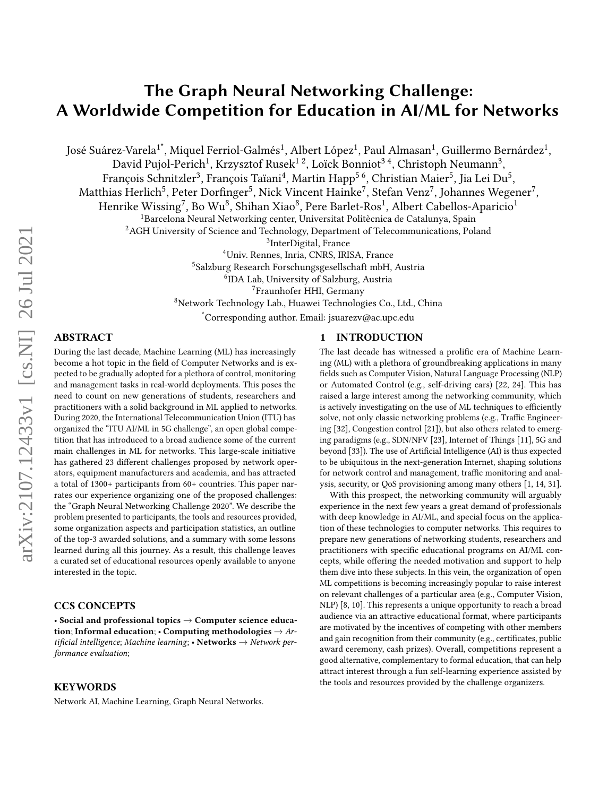# The Graph Neural Networking Challenge: A Worldwide Competition for Education in AI/ML for Networks

José Suárez-Varela $^1^\ast$ , Miquel Ferriol-Galmés $^1$ , Albert López $^1$ , Paul Almasan $^1$ , Guillermo Bernárdez $^1$ ,

David Pujol-Perich<sup>1</sup>, Krzysztof Rusek $^{\rm 1\, 2}$ , Loïck Bonniot $^{\rm 3\, 4}$ , Christoph Neumann $^{\rm 3}$ ,

François Schnitzler<sup>3</sup>, François Taïani<sup>4</sup>, Martin Happ<sup>5 6</sup>, Christian Maier<sup>5</sup>, Jia Lei Du<sup>5</sup>,

Matthias Herlich $^5$ , Peter Dorfinger $^5$ , Nick Vincent Hainke $^7$ , Stefan Venz $^7$ , Johannes Wegener $^7$ ,

Henrike Wissing $^7$ , Bo Wu $^8$ , Shihan Xiao $^8$ , Pere Barlet-Ros $^1$ , Albert Cabellos-Aparicio $^1$ 

<sup>1</sup>Barcelona Neural Networking center, Universitat Politècnica de Catalunya, Spain

<sup>2</sup>AGH University of Science and Technology, Department of Telecommunications, Poland

<sup>3</sup>InterDigital, France

<sup>4</sup>Univ. Rennes, Inria, CNRS, IRISA, France

<sup>5</sup>Salzburg Research Forschungsgesellschaft mbH, Austria

6 IDA Lab, University of Salzburg, Austria

<sup>7</sup>Fraunhofer HHI, Germany

<sup>8</sup>Network Technology Lab., Huawei Technologies Co., Ltd., China

\*Corresponding author. Email: jsuarezv@ac.upc.edu

# ABSTRACT

During the last decade, Machine Learning (ML) has increasingly become a hot topic in the field of Computer Networks and is expected to be gradually adopted for a plethora of control, monitoring and management tasks in real-world deployments. This poses the need to count on new generations of students, researchers and practitioners with a solid background in ML applied to networks. During 2020, the International Telecommunication Union (ITU) has organized the "ITU AI/ML in 5G challenge", an open global competition that has introduced to a broad audience some of the current main challenges in ML for networks. This large-scale initiative has gathered 23 different challenges proposed by network operators, equipment manufacturers and academia, and has attracted a total of 1300+ participants from 60+ countries. This paper narrates our experience organizing one of the proposed challenges: the "Graph Neural Networking Challenge 2020". We describe the problem presented to participants, the tools and resources provided, some organization aspects and participation statistics, an outline of the top-3 awarded solutions, and a summary with some lessons learned during all this journey. As a result, this challenge leaves a curated set of educational resources openly available to anyone interested in the topic.

# CCS CONCEPTS

• Social and professional topics  $\rightarrow$  Computer science education; Informal education; • Computing methodologies  $\rightarrow$  Artificial intelligence; Machine learning; • Networks  $\rightarrow$  Network performance evaluation;

### **KEYWORDS**

Network AI, Machine Learning, Graph Neural Networks.

# 1 INTRODUCTION

The last decade has witnessed a prolific era of Machine Learning (ML) with a plethora of groundbreaking applications in many fields such as Computer Vision, Natural Language Processing (NLP) or Automated Control (e.g., self-driving cars) [\[22,](#page-6-0) [24\]](#page-6-1). This has raised a large interest among the networking community, which is actively investigating on the use of ML techniques to efficiently solve, not only classic networking problems (e.g., Traffic Engineering [\[32\]](#page-6-2), Congestion control [\[21\]](#page-6-3)), but also others related to emerging paradigms (e.g., SDN/NFV [\[23\]](#page-6-4), Internet of Things [\[11\]](#page-6-5), 5G and beyond [\[33\]](#page-6-6)). The use of Artificial Intelligence (AI) is thus expected to be ubiquitous in the next-generation Internet, shaping solutions for network control and management, traffic monitoring and analysis, security, or QoS provisioning among many others [\[1,](#page-6-7) [14,](#page-6-8) [31\]](#page-6-9).

With this prospect, the networking community will arguably experience in the next few years a great demand of professionals with deep knowledge in AI/ML, and special focus on the application of these technologies to computer networks. This requires to prepare new generations of networking students, researchers and practitioners with specific educational programs on AI/ML concepts, while offering the needed motivation and support to help them dive into these subjects. In this vein, the organization of open ML competitions is becoming increasingly popular to raise interest on relevant challenges of a particular area (e.g., Computer Vision, NLP) [\[8,](#page-6-10) [10\]](#page-6-11). This represents a unique opportunity to reach a broad audience via an attractive educational format, where participants are motivated by the incentives of competing with other members and gain recognition from their community (e.g., certificates, public award ceremony, cash prizes). Overall, competitions represent a good alternative, complementary to formal education, that can help attract interest through a fun self-learning experience assisted by the tools and resources provided by the challenge organizers.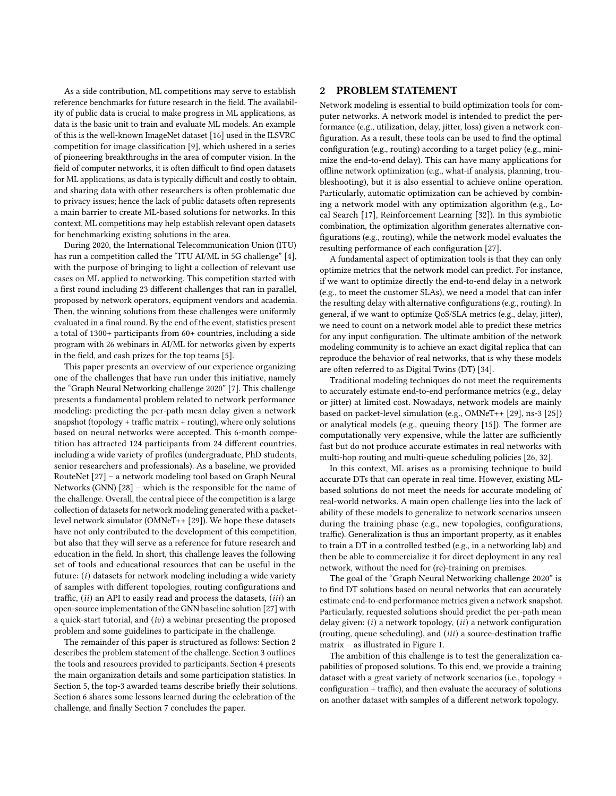As a side contribution, ML competitions may serve to establish reference benchmarks for future research in the field. The availability of public data is crucial to make progress in ML applications, as data is the basic unit to train and evaluate ML models. An example of this is the well-known ImageNet dataset [\[16\]](#page-6-12) used in the ILSVRC competition for image classification [\[9\]](#page-6-13), which ushered in a series of pioneering breakthroughs in the area of computer vision. In the field of computer networks, it is often difficult to find open datasets for ML applications, as data is typically difficult and costly to obtain, and sharing data with other researchers is often problematic due to privacy issues; hence the lack of public datasets often represents a main barrier to create ML-based solutions for networks. In this context, ML competitions may help establish relevant open datasets for benchmarking existing solutions in the area.

During 2020, the International Telecommunication Union (ITU) has run a competition called the "ITU AI/ML in 5G challenge" [\[4\]](#page-6-14), with the purpose of bringing to light a collection of relevant use cases on ML applied to networking. This competition started with a first round including 23 different challenges that ran in parallel, proposed by network operators, equipment vendors and academia. Then, the winning solutions from these challenges were uniformly evaluated in a final round. By the end of the event, statistics present a total of 1300+ participants from 60+ countries, including a side program with 26 webinars in AI/ML for networks given by experts in the field, and cash prizes for the top teams [\[5\]](#page-6-15).

This paper presents an overview of our experience organizing one of the challenges that have run under this initiative, namely the "Graph Neural Networking challenge 2020" [\[7\]](#page-6-16). This challenge presents a fundamental problem related to network performance modeling: predicting the per-path mean delay given a network snapshot (topology + traffic matrix + routing), where only solutions based on neural networks were accepted. This 6-month competition has attracted 124 participants from 24 different countries, including a wide variety of profiles (undergraduate, PhD students, senior researchers and professionals). As a baseline, we provided RouteNet [\[27\]](#page-6-17) – a network modeling tool based on Graph Neural Networks (GNN) [\[28\]](#page-6-18) – which is the responsible for the name of the challenge. Overall, the central piece of the competition is a large collection of datasets for network modeling generated with a packetlevel network simulator (OMNeT++ [\[29\]](#page-6-19)). We hope these datasets have not only contributed to the development of this competition, but also that they will serve as a reference for future research and education in the field. In short, this challenge leaves the following set of tools and educational resources that can be useful in the future:  $(i)$  datasets for network modeling including a wide variety of samples with different topologies, routing configurations and traffic,  $(ii)$  an API to easily read and process the datasets,  $(iii)$  an open-source implementation of the GNN baseline solution [\[27\]](#page-6-17) with a quick-start tutorial, and  $(iv)$  a webinar presenting the proposed problem and some guidelines to participate in the challenge.

The remainder of this paper is structured as follows: Section [2](#page-1-0) describes the problem statement of the challenge. Section [3](#page-2-0) outlines the tools and resources provided to participants. Section [4](#page-3-0) presents the main organization details and some participation statistics. In Section [5,](#page-4-0) the top-3 awarded teams describe briefly their solutions. Section [6](#page-5-0) shares some lessons learned during the celebration of the challenge, and finally Section [7](#page-5-1) concludes the paper.

## <span id="page-1-0"></span>2 PROBLEM STATEMENT

Network modeling is essential to build optimization tools for computer networks. A network model is intended to predict the performance (e.g., utilization, delay, jitter, loss) given a network configuration. As a result, these tools can be used to find the optimal configuration (e.g., routing) according to a target policy (e.g., minimize the end-to-end delay). This can have many applications for offline network optimization (e.g., what-if analysis, planning, troubleshooting), but it is also essential to achieve online operation. Particularly, automatic optimization can be achieved by combining a network model with any optimization algorithm (e.g., Local Search [\[17\]](#page-6-20), Reinforcement Learning [\[32\]](#page-6-2)). In this symbiotic combination, the optimization algorithm generates alternative configurations (e.g., routing), while the network model evaluates the resulting performance of each configuration [\[27\]](#page-6-17).

A fundamental aspect of optimization tools is that they can only optimize metrics that the network model can predict. For instance, if we want to optimize directly the end-to-end delay in a network (e.g., to meet the customer SLAs), we need a model that can infer the resulting delay with alternative configurations (e.g., routing). In general, if we want to optimize QoS/SLA metrics (e.g., delay, jitter), we need to count on a network model able to predict these metrics for any input configuration. The ultimate ambition of the network modeling community is to achieve an exact digital replica that can reproduce the behavior of real networks, that is why these models are often referred to as Digital Twins (DT) [\[34\]](#page-6-21).

Traditional modeling techniques do not meet the requirements to accurately estimate end-to-end performance metrics (e.g., delay or jitter) at limited cost. Nowadays, network models are mainly based on packet-level simulation (e.g., OMNeT++ [\[29\]](#page-6-19), ns-3 [\[25\]](#page-6-22)) or analytical models (e.g., queuing theory [\[15\]](#page-6-23)). The former are computationally very expensive, while the latter are sufficiently fast but do not produce accurate estimates in real networks with multi-hop routing and multi-queue scheduling policies [\[26,](#page-6-24) [32\]](#page-6-2).

In this context, ML arises as a promising technique to build accurate DTs that can operate in real time. However, existing MLbased solutions do not meet the needs for accurate modeling of real-world networks. A main open challenge lies into the lack of ability of these models to generalize to network scenarios unseen during the training phase (e.g., new topologies, configurations, traffic). Generalization is thus an important property, as it enables to train a DT in a controlled testbed (e.g., in a networking lab) and then be able to commercialize it for direct deployment in any real network, without the need for (re)-training on premises.

The goal of the "Graph Neural Networking challenge 2020" is to find DT solutions based on neural networks that can accurately estimate end-to-end performance metrics given a network snapshot. Particularly, requested solutions should predict the per-path mean delay given:  $(i)$  a network topology,  $(ii)$  a network configuration (routing, queue scheduling), and  $(iii)$  a source-destination traffic matrix – as illustrated in Figure [1.](#page-2-1)

The ambition of this challenge is to test the generalization capabilities of proposed solutions. To this end, we provide a training dataset with a great variety of network scenarios (i.e., topology + configuration + traffic), and then evaluate the accuracy of solutions on another dataset with samples of a different network topology.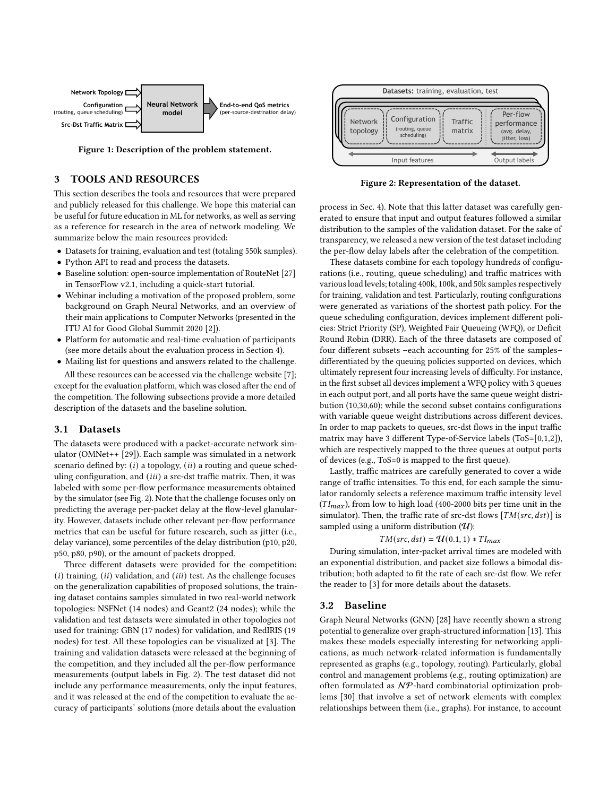<span id="page-2-1"></span>

Figure 1: Description of the problem statement.

# <span id="page-2-0"></span>3 TOOLS AND RESOURCES

This section describes the tools and resources that were prepared and publicly released for this challenge. We hope this material can be useful for future education in ML for networks, as well as serving as a reference for research in the area of network modeling. We summarize below the main resources provided:

- Datasets for training, evaluation and test (totaling 550k samples).
- Python API to read and process the datasets.
- Baseline solution: open-source implementation of RouteNet [\[27\]](#page-6-17) in TensorFlow v2.1, including a quick-start tutorial.
- Webinar including a motivation of the proposed problem, some background on Graph Neural Networks, and an overview of their main applications to Computer Networks (presented in the ITU AI for Good Global Summit 2020 [\[2\]](#page-6-25)).
- Platform for automatic and real-time evaluation of participants (see more details about the evaluation process in Section [4\)](#page-3-0).
- Mailing list for questions and answers related to the challenge. All these resources can be accessed via the challenge website [\[7\]](#page-6-16);

except for the evaluation platform, which was closed after the end of the competition. The following subsections provide a more detailed description of the datasets and the baseline solution.

# <span id="page-2-3"></span>3.1 Datasets

The datasets were produced with a packet-accurate network simulator (OMNet++ [\[29\]](#page-6-19)). Each sample was simulated in a network scenario defined by:  $(i)$  a topology,  $(ii)$  a routing and queue scheduling configuration, and  $(iii)$  a src-dst traffic matrix. Then, it was labeled with some per-flow performance measurements obtained by the simulator (see Fig. [2\)](#page-2-2). Note that the challenge focuses only on predicting the average per-packet delay at the flow-level glanularity. However, datasets include other relevant per-flow performance metrics that can be useful for future research, such as jitter (i.e., delay variance), some percentiles of the delay distribution (p10, p20, p50, p80, p90), or the amount of packets dropped.

Three different datasets were provided for the competition:  $(i)$  training,  $(ii)$  validation, and  $(iii)$  test. As the challenge focuses on the generalization capabilities of proposed solutions, the training dataset contains samples simulated in two real-world network topologies: NSFNet (14 nodes) and Geant2 (24 nodes); while the validation and test datasets were simulated in other topologies not used for training: GBN (17 nodes) for validation, and RedIRIS (19 nodes) for test. All these topologies can be visualized at [\[3\]](#page-6-26). The training and validation datasets were released at the beginning of the competition, and they included all the per-flow performance measurements (output labels in Fig. [2\)](#page-2-2). The test dataset did not include any performance measurements, only the input features, and it was released at the end of the competition to evaluate the accuracy of participants' solutions (more details about the evaluation

<span id="page-2-2"></span>

Figure 2: Representation of the dataset.

process in Sec. [4\)](#page-3-0). Note that this latter dataset was carefully generated to ensure that input and output features followed a similar distribution to the samples of the validation dataset. For the sake of transparency, we released a new version of the test dataset including the per-flow delay labels after the celebration of the competition.

These datasets combine for each topology hundreds of configurations (i.e., routing, queue scheduling) and traffic matrices with various load levels; totaling 400k, 100k, and 50k samples respectively for training, validation and test. Particularly, routing configurations were generated as variations of the shortest path policy. For the queue scheduling configuration, devices implement different policies: Strict Priority (SP), Weighted Fair Queueing (WFQ), or Deficit Round Robin (DRR). Each of the three datasets are composed of four different subsets –each accounting for 25% of the samples– differentiated by the queuing policies supported on devices, which ultimately represent four increasing levels of difficulty. For instance, in the first subset all devices implement a WFQ policy with 3 queues in each output port, and all ports have the same queue weight distribution (10,30,60); while the second subset contains configurations with variable queue weight distributions across different devices. In order to map packets to queues, src-dst flows in the input traffic matrix may have 3 different Type-of-Service labels (ToS=[0,1,2]), which are respectively mapped to the three queues at output ports of devices (e.g., ToS=0 is mapped to the first queue).

Lastly, traffic matrices are carefully generated to cover a wide range of traffic intensities. To this end, for each sample the simulator randomly selects a reference maximum traffic intensity level  $(TI_{max})$ , from low to high load (400-2000 bits per time unit in the simulator). Then, the traffic rate of src-dst flows  $[TM(src, dst)]$  is sampled using a uniform distribution  $(U)$ :

### $TM(src, dst) = U(0.1, 1) * TI_{max}$

During simulation, inter-packet arrival times are modeled with an exponential distribution, and packet size follows a bimodal distribution; both adapted to fit the rate of each src-dst flow. We refer the reader to [\[3\]](#page-6-26) for more details about the datasets.

### <span id="page-2-4"></span>3.2 Baseline

Graph Neural Networks (GNN) [\[28\]](#page-6-18) have recently shown a strong potential to generalize over graph-structured information [\[13\]](#page-6-27). This makes these models especially interesting for networking applications, as much network-related information is fundamentally represented as graphs (e.g., topology, routing). Particularly, global control and management problems (e.g., routing optimization) are often formulated as  $N$ P-hard combinatorial optimization problems [\[30\]](#page-6-28) that involve a set of network elements with complex relationships between them (i.e., graphs). For instance, to account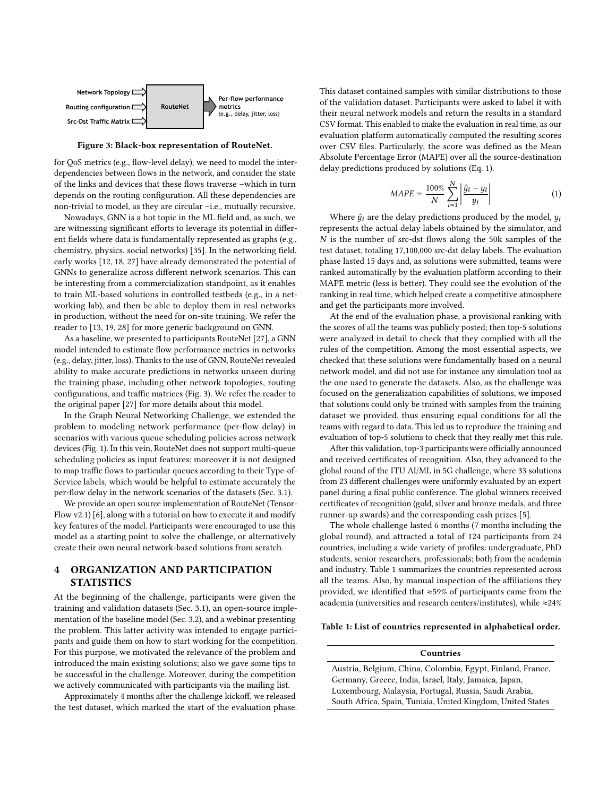<span id="page-3-1"></span>

Figure 3: Black-box representation of RouteNet.

for QoS metrics (e.g., flow-level delay), we need to model the interdependencies between flows in the network, and consider the state of the links and devices that these flows traverse –which in turn depends on the routing configuration. All these dependencies are non-trivial to model, as they are circular –i.e., mutually recursive.

Nowadays, GNN is a hot topic in the ML field and, as such, we are witnessing significant efforts to leverage its potential in different fields where data is fundamentally represented as graphs (e.g., chemistry, physics, social networks) [\[35\]](#page-6-29). In the networking field, early works [\[12,](#page-6-30) [18,](#page-6-31) [27\]](#page-6-17) have already demonstrated the potential of GNNs to generalize across different network scenarios. This can be interesting from a commercialization standpoint, as it enables to train ML-based solutions in controlled testbeds (e.g., in a networking lab), and then be able to deploy them in real networks in production, without the need for on-site training. We refer the reader to [\[13,](#page-6-27) [19,](#page-6-32) [28\]](#page-6-18) for more generic background on GNN.

As a baseline, we presented to participants RouteNet [\[27\]](#page-6-17), a GNN model intended to estimate flow performance metrics in networks (e.g., delay, jitter, loss). Thanks to the use of GNN, RouteNet revealed ability to make accurate predictions in networks unseen during the training phase, including other network topologies, routing configurations, and traffic matrices (Fig. [3\)](#page-3-1). We refer the reader to the original paper [\[27\]](#page-6-17) for more details about this model.

In the Graph Neural Networking Challenge, we extended the problem to modeling network performance (per-flow delay) in scenarios with various queue scheduling policies across network devices (Fig. [1\)](#page-2-1). In this vein, RouteNet does not support multi-queue scheduling policies as input features; moreover it is not designed to map traffic flows to particular queues according to their Type-of-Service labels, which would be helpful to estimate accurately the per-flow delay in the network scenarios of the datasets (Sec. [3.1\)](#page-2-3).

We provide an open source implementation of RouteNet (Tensor-Flow v2.1) [\[6\]](#page-6-33), along with a tutorial on how to execute it and modify key features of the model. Participants were encouraged to use this model as a starting point to solve the challenge, or alternatively create their own neural network-based solutions from scratch.

# <span id="page-3-0"></span>4 ORGANIZATION AND PARTICIPATION **STATISTICS**

At the beginning of the challenge, participants were given the training and validation datasets (Sec. [3.1\)](#page-2-3), an open-source implementation of the baseline model (Sec. [3.2\)](#page-2-4), and a webinar presenting the problem. This latter activity was intended to engage participants and guide them on how to start working for the competition. For this purpose, we motivated the relevance of the problem and introduced the main existing solutions; also we gave some tips to be successful in the challenge. Moreover, during the competition we actively communicated with participants via the mailing list.

Approximately 4 months after the challenge kickoff, we released the test dataset, which marked the start of the evaluation phase. This dataset contained samples with similar distributions to those of the validation dataset. Participants were asked to label it with their neural network models and return the results in a standard CSV format. This enabled to make the evaluation in real time, as our evaluation platform automatically computed the resulting scores over CSV files. Particularly, the score was defined as the Mean Absolute Percentage Error (MAPE) over all the source-destination delay predictions produced by solutions (Eq. [1\)](#page-3-2).

<span id="page-3-2"></span>
$$
MAPE = \frac{100\%}{N} \sum_{i=1}^{N} \left| \frac{\hat{y}_i - y_i}{y_i} \right| \tag{1}
$$

Where  $\hat{y}_i$  are the delay predictions produced by the model,  $y_i$ represents the actual delay labels obtained by the simulator, and N is the number of src-dst flows along the 50k samples of the test dataset, totaling 17,100,000 src-dst delay labels. The evaluation phase lasted 15 days and, as solutions were submitted, teams were ranked automatically by the evaluation platform according to their MAPE metric (less is better). They could see the evolution of the ranking in real time, which helped create a competitive atmosphere and get the participants more involved.

At the end of the evaluation phase, a provisional ranking with the scores of all the teams was publicly posted; then top-5 solutions were analyzed in detail to check that they complied with all the rules of the competition. Among the most essential aspects, we checked that these solutions were fundamentally based on a neural network model, and did not use for instance any simulation tool as the one used to generate the datasets. Also, as the challenge was focused on the generalization capabilities of solutions, we imposed that solutions could only be trained with samples from the training dataset we provided, thus ensuring equal conditions for all the teams with regard to data. This led us to reproduce the training and evaluation of top-5 solutions to check that they really met this rule.

After this validation, top-3 participants were officially announced and received certificates of recognition. Also, they advanced to the global round of the ITU AI/ML in 5G challenge, where 33 solutions from 23 different challenges were uniformly evaluated by an expert panel during a final public conference. The global winners received certificates of recognition (gold, silver and bronze medals, and three runner-up awards) and the corresponding cash prizes [\[5\]](#page-6-15).

The whole challenge lasted 6 months (7 months including the global round), and attracted a total of 124 participants from 24 countries, including a wide variety of profiles: undergraduate, PhD students, senior researchers, professionals; both from the academia and industry. Table [1](#page-3-3) summarizes the countries represented across all the teams. Also, by manual inspection of the affiliations they provided, we identified that ≈59% of participants came from the academia (universities and research centers/institutes), while ≈24%

#### <span id="page-3-3"></span>Table 1: List of countries represented in alphabetical order.

# Countries

Austria, Belgium, China, Colombia, Egypt, Finland, France, Germany, Greece, India, Israel, Italy, Jamaica, Japan, Luxembourg, Malaysia, Portugal, Russia, Saudi Arabia, South Africa, Spain, Tunisia, United Kingdom, United States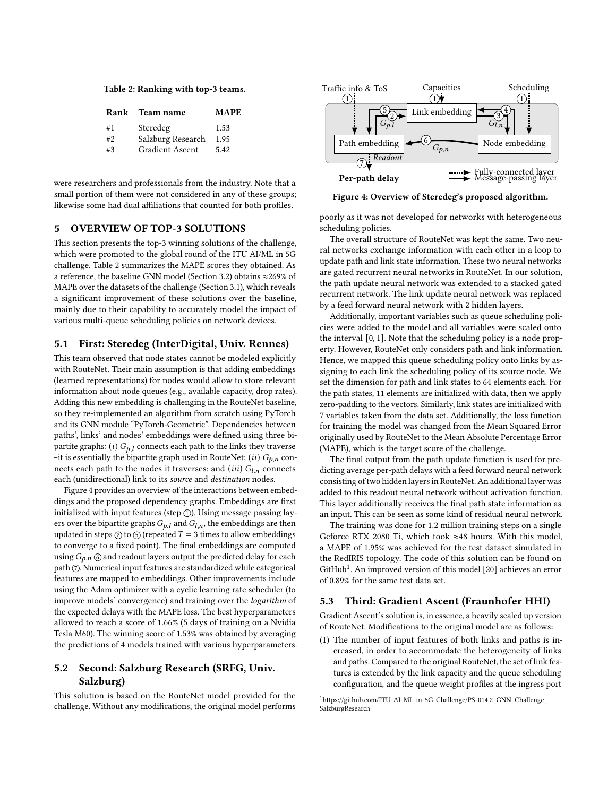<span id="page-4-1"></span>Table 2: Ranking with top-3 teams.

|     | Rank Team name         | MAPE. |
|-----|------------------------|-------|
| #1  | Steredeg               | 1.53  |
| #2. | Salzburg Research      | 1.95  |
| #3  | <b>Gradient Ascent</b> | 5.42  |

were researchers and professionals from the industry. Note that a small portion of them were not considered in any of these groups; likewise some had dual affiliations that counted for both profiles.

# <span id="page-4-0"></span>5 OVERVIEW OF TOP-3 SOLUTIONS

This section presents the top-3 winning solutions of the challenge, which were promoted to the global round of the ITU AI/ML in 5G challenge. Table [2](#page-4-1) summarizes the MAPE scores they obtained. As a reference, the baseline GNN model (Section [3.2\)](#page-2-4) obtains ≈269% of MAPE over the datasets of the challenge (Section [3.1\)](#page-2-3), which reveals a significant improvement of these solutions over the baseline, mainly due to their capability to accurately model the impact of various multi-queue scheduling policies on network devices.

### 5.1 First: Steredeg (InterDigital, Univ. Rennes)

This team observed that node states cannot be modeled explicitly with RouteNet. Their main assumption is that adding embeddings (learned representations) for nodes would allow to store relevant information about node queues (e.g., available capacity, drop rates). Adding this new embedding is challenging in the RouteNet baseline, so they re-implemented an algorithm from scratch using PyTorch and its GNN module "PyTorch-Geometric". Dependencies between paths', links' and nodes' embeddings were defined using three bipartite graphs: (i)  $G_{p,l}$  connects each path to the links they traverse –it is essentially the bipartite graph used in RouteNet; (ii)  $G_{p,n}$  connects each path to the nodes it traverses; and (iii)  $G_{l,n}$  connects each (unidirectional) link to its source and destination nodes.

Figure [4](#page-4-2) provides an overview of the interactions between embeddings and the proposed dependency graphs. Embeddings are first initialized with input features (step  $\circled$ ). Using message passing layers over the bipartite graphs  $G_{p,l}$  and  $G_{l,n}$ , the embeddings are then updated in steps  $\circledcirc$  to  $\circledcirc$  (repeated  $T = 3$  times to allow embeddings to converge to a fixed point). The final embeddings are computed using  $G_{p,n}$   $\circledcirc$  and readout layers output the predicted delay for each path  $\oslash$ . Numerical input features are standardized while categorical features are mapped to embeddings. Other improvements include using the Adam optimizer with a cyclic learning rate scheduler (to improve models' convergence) and training over the logarithm of the expected delays with the MAPE loss. The best hyperparameters allowed to reach a score of 1.66% (5 days of training on a Nvidia Tesla M60). The winning score of 1.53% was obtained by averaging the predictions of 4 models trained with various hyperparameters.

# 5.2 Second: Salzburg Research (SRFG, Univ. Salzburg)

This solution is based on the RouteNet model provided for the challenge. Without any modifications, the original model performs

<span id="page-4-2"></span>

Figure 4: Overview of Steredeg's proposed algorithm.

poorly as it was not developed for networks with heterogeneous scheduling policies.

The overall structure of RouteNet was kept the same. Two neural networks exchange information with each other in a loop to update path and link state information. These two neural networks are gated recurrent neural networks in RouteNet. In our solution, the path update neural network was extended to a stacked gated recurrent network. The link update neural network was replaced by a feed forward neural network with 2 hidden layers.

Additionally, important variables such as queue scheduling policies were added to the model and all variables were scaled onto the interval [0, 1]. Note that the scheduling policy is a node property. However, RouteNet only considers path and link information. Hence, we mapped this queue scheduling policy onto links by assigning to each link the scheduling policy of its source node. We set the dimension for path and link states to 64 elements each. For the path states, 11 elements are initialized with data, then we apply zero-padding to the vectors. Similarly, link states are initialized with 7 variables taken from the data set. Additionally, the loss function for training the model was changed from the Mean Squared Error originally used by RouteNet to the Mean Absolute Percentage Error (MAPE), which is the target score of the challenge.

The final output from the path update function is used for predicting average per-path delays with a feed forward neural network consisting of two hidden layers in RouteNet. An additional layer was added to this readout neural network without activation function. This layer additionally receives the final path state information as an input. This can be seen as some kind of residual neural network.

The training was done for 1.2 million training steps on a single Geforce RTX 2080 Ti, which took ≈48 hours. With this model, a MAPE of 1.95% was achieved for the test dataset simulated in the RedIRIS topology. The code of this solution can be found on GitHub<sup>[1](#page-4-3)</sup>. An improved version of this model [\[20\]](#page-6-34) achieves an error of 0.89% for the same test data set.

### 5.3 Third: Gradient Ascent (Fraunhofer HHI)

Gradient Ascent's solution is, in essence, a heavily scaled up version of RouteNet. Modifications to the original model are as follows:

(1) The number of input features of both links and paths is increased, in order to accommodate the heterogeneity of links and paths. Compared to the original RouteNet, the set of link features is extended by the link capacity and the queue scheduling configuration, and the queue weight profiles at the ingress port

<span id="page-4-3"></span><sup>1</sup>[https://github.com/ITU-AI-ML-in-5G-Challenge/PS-014.2\\_GNN\\_Challenge\\_](https://github.com/ITU-AI-ML-in-5G-Challenge/PS-014.2_GNN_Challenge_SalzburgResearch) [SalzburgResearch](https://github.com/ITU-AI-ML-in-5G-Challenge/PS-014.2_GNN_Challenge_SalzburgResearch)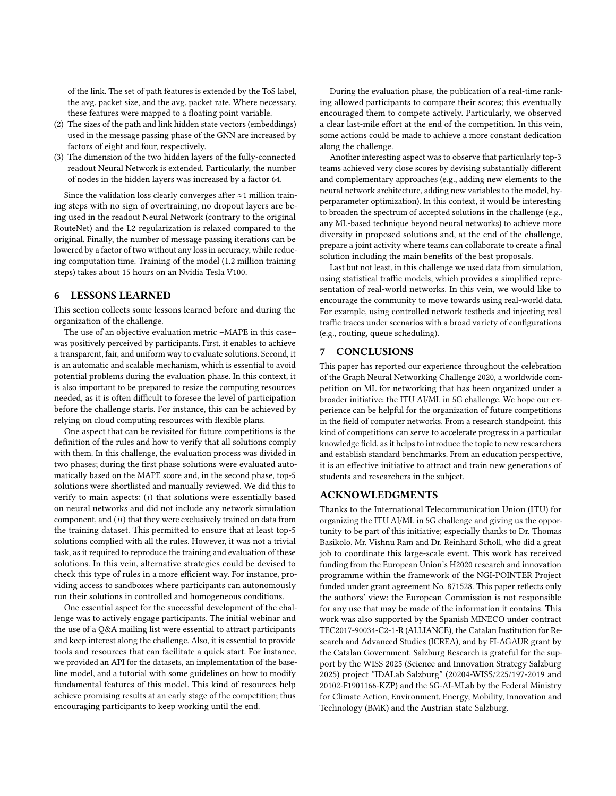of the link. The set of path features is extended by the ToS label, the avg. packet size, and the avg. packet rate. Where necessary, these features were mapped to a floating point variable.

- (2) The sizes of the path and link hidden state vectors (embeddings) used in the message passing phase of the GNN are increased by factors of eight and four, respectively.
- (3) The dimension of the two hidden layers of the fully-connected readout Neural Network is extended. Particularly, the number of nodes in the hidden layers was increased by a factor 64.

Since the validation loss clearly converges after  $\approx$ 1 million training steps with no sign of overtraining, no dropout layers are being used in the readout Neural Network (contrary to the original RouteNet) and the L2 regularization is relaxed compared to the original. Finally, the number of message passing iterations can be lowered by a factor of two without any loss in accuracy, while reducing computation time. Training of the model (1.2 million training steps) takes about 15 hours on an Nvidia Tesla V100.

### <span id="page-5-0"></span>6 LESSONS LEARNED

This section collects some lessons learned before and during the organization of the challenge.

The use of an objective evaluation metric –MAPE in this case– was positively perceived by participants. First, it enables to achieve a transparent, fair, and uniform way to evaluate solutions. Second, it is an automatic and scalable mechanism, which is essential to avoid potential problems during the evaluation phase. In this context, it is also important to be prepared to resize the computing resources needed, as it is often difficult to foresee the level of participation before the challenge starts. For instance, this can be achieved by relying on cloud computing resources with flexible plans.

One aspect that can be revisited for future competitions is the definition of the rules and how to verify that all solutions comply with them. In this challenge, the evaluation process was divided in two phases; during the first phase solutions were evaluated automatically based on the MAPE score and, in the second phase, top-5 solutions were shortlisted and manually reviewed. We did this to verify to main aspects:  $(i)$  that solutions were essentially based on neural networks and did not include any network simulation component, and  $(ii)$  that they were exclusively trained on data from the training dataset. This permitted to ensure that at least top-5 solutions complied with all the rules. However, it was not a trivial task, as it required to reproduce the training and evaluation of these solutions. In this vein, alternative strategies could be devised to check this type of rules in a more efficient way. For instance, providing access to sandboxes where participants can autonomously run their solutions in controlled and homogeneous conditions.

One essential aspect for the successful development of the challenge was to actively engage participants. The initial webinar and the use of a Q&A mailing list were essential to attract participants and keep interest along the challenge. Also, it is essential to provide tools and resources that can facilitate a quick start. For instance, we provided an API for the datasets, an implementation of the baseline model, and a tutorial with some guidelines on how to modify fundamental features of this model. This kind of resources help achieve promising results at an early stage of the competition; thus encouraging participants to keep working until the end.

During the evaluation phase, the publication of a real-time ranking allowed participants to compare their scores; this eventually encouraged them to compete actively. Particularly, we observed a clear last-mile effort at the end of the competition. In this vein, some actions could be made to achieve a more constant dedication along the challenge.

Another interesting aspect was to observe that particularly top-3 teams achieved very close scores by devising substantially different and complementary approaches (e.g., adding new elements to the neural network architecture, adding new variables to the model, hyperparameter optimization). In this context, it would be interesting to broaden the spectrum of accepted solutions in the challenge (e.g., any ML-based technique beyond neural networks) to achieve more diversity in proposed solutions and, at the end of the challenge, prepare a joint activity where teams can collaborate to create a final solution including the main benefits of the best proposals.

Last but not least, in this challenge we used data from simulation, using statistical traffic models, which provides a simplified representation of real-world networks. In this vein, we would like to encourage the community to move towards using real-world data. For example, using controlled network testbeds and injecting real traffic traces under scenarios with a broad variety of configurations (e.g., routing, queue scheduling).

### <span id="page-5-1"></span>7 CONCLUSIONS

This paper has reported our experience throughout the celebration of the Graph Neural Networking Challenge 2020, a worldwide competition on ML for networking that has been organized under a broader initiative: the ITU AI/ML in 5G challenge. We hope our experience can be helpful for the organization of future competitions in the field of computer networks. From a research standpoint, this kind of competitions can serve to accelerate progress in a particular knowledge field, as it helps to introduce the topic to new researchers and establish standard benchmarks. From an education perspective, it is an effective initiative to attract and train new generations of students and researchers in the subject.

### ACKNOWLEDGMENTS

Thanks to the International Telecommunication Union (ITU) for organizing the ITU AI/ML in 5G challenge and giving us the opportunity to be part of this initiative; especially thanks to Dr. Thomas Basikolo, Mr. Vishnu Ram and Dr. Reinhard Scholl, who did a great job to coordinate this large-scale event. This work has received funding from the European Union's H2020 research and innovation programme within the framework of the NGI-POINTER Project funded under grant agreement No. 871528. This paper reflects only the authors' view; the European Commission is not responsible for any use that may be made of the information it contains. This work was also supported by the Spanish MINECO under contract TEC2017-90034-C2-1-R (ALLIANCE), the Catalan Institution for Research and Advanced Studies (ICREA), and by FI-AGAUR grant by the Catalan Government. Salzburg Research is grateful for the support by the WISS 2025 (Science and Innovation Strategy Salzburg 2025) project "IDALab Salzburg" (20204-WISS/225/197-2019 and 20102-F1901166-KZP) and the 5G-AI-MLab by the Federal Ministry for Climate Action, Environment, Energy, Mobility, Innovation and Technology (BMK) and the Austrian state Salzburg.